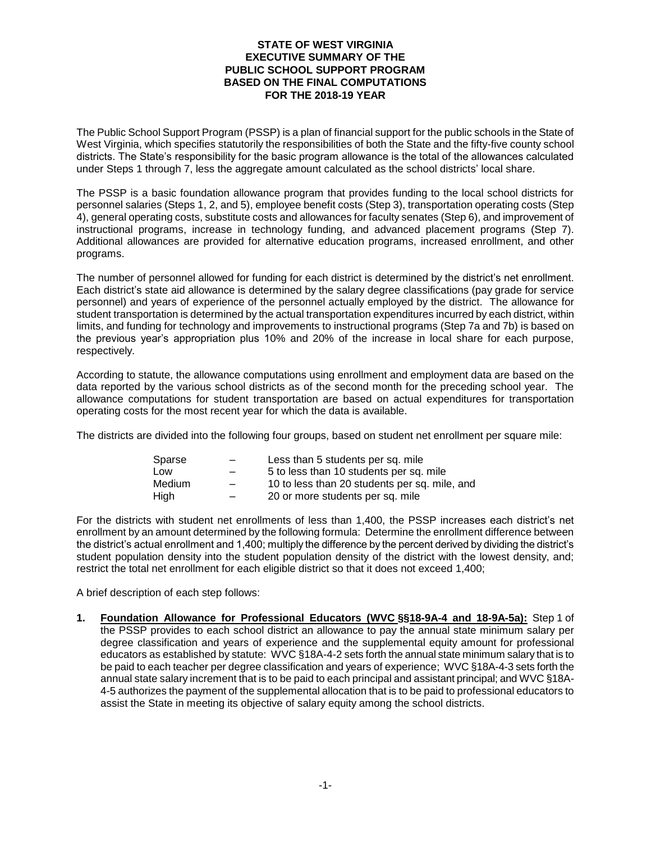# **STATE OF WEST VIRGINIA EXECUTIVE SUMMARY OF THE PUBLIC SCHOOL SUPPORT PROGRAM BASED ON THE FINAL COMPUTATIONS FOR THE 2018-19 YEAR**

The Public School Support Program (PSSP) is a plan of financial support for the public schools in the State of West Virginia, which specifies statutorily the responsibilities of both the State and the fifty-five county school districts. The State's responsibility for the basic program allowance is the total of the allowances calculated under Steps 1 through 7, less the aggregate amount calculated as the school districts' local share.

The PSSP is a basic foundation allowance program that provides funding to the local school districts for personnel salaries (Steps 1, 2, and 5), employee benefit costs (Step 3), transportation operating costs (Step 4), general operating costs, substitute costs and allowances for faculty senates (Step 6), and improvement of instructional programs, increase in technology funding, and advanced placement programs (Step 7). Additional allowances are provided for alternative education programs, increased enrollment, and other programs.

The number of personnel allowed for funding for each district is determined by the district's net enrollment. Each district's state aid allowance is determined by the salary degree classifications (pay grade for service personnel) and years of experience of the personnel actually employed by the district. The allowance for student transportation is determined by the actual transportation expenditures incurred by each district, within limits, and funding for technology and improvements to instructional programs (Step 7a and 7b) is based on the previous year's appropriation plus 10% and 20% of the increase in local share for each purpose, respectively.

According to statute, the allowance computations using enrollment and employment data are based on the data reported by the various school districts as of the second month for the preceding school year. The allowance computations for student transportation are based on actual expenditures for transportation operating costs for the most recent year for which the data is available.

The districts are divided into the following four groups, based on student net enrollment per square mile:

| $\overline{\phantom{0}}$ | Less than 5 students per sq. mile             |
|--------------------------|-----------------------------------------------|
| $\overline{\phantom{0}}$ | 5 to less than 10 students per sq. mile       |
|                          | 10 to less than 20 students per sq. mile, and |
| $\overline{\phantom{0}}$ | 20 or more students per sq. mile              |
|                          |                                               |

For the districts with student net enrollments of less than 1,400, the PSSP increases each district's net enrollment by an amount determined by the following formula: Determine the enrollment difference between the district's actual enrollment and 1,400; multiply the difference by the percent derived by dividing the district's student population density into the student population density of the district with the lowest density, and; restrict the total net enrollment for each eligible district so that it does not exceed 1,400;

A brief description of each step follows:

**1. Foundation Allowance for Professional Educators (WVC §§18-9A-4 and 18-9A-5a):** Step 1 of the PSSP provides to each school district an allowance to pay the annual state minimum salary per degree classification and years of experience and the supplemental equity amount for professional educators as established by statute: WVC §18A-4-2 sets forth the annual state minimum salary that is to be paid to each teacher per degree classification and years of experience; WVC §18A-4-3 sets forth the annual state salary increment that is to be paid to each principal and assistant principal; and WVC §18A-4-5 authorizes the payment of the supplemental allocation that is to be paid to professional educators to assist the State in meeting its objective of salary equity among the school districts.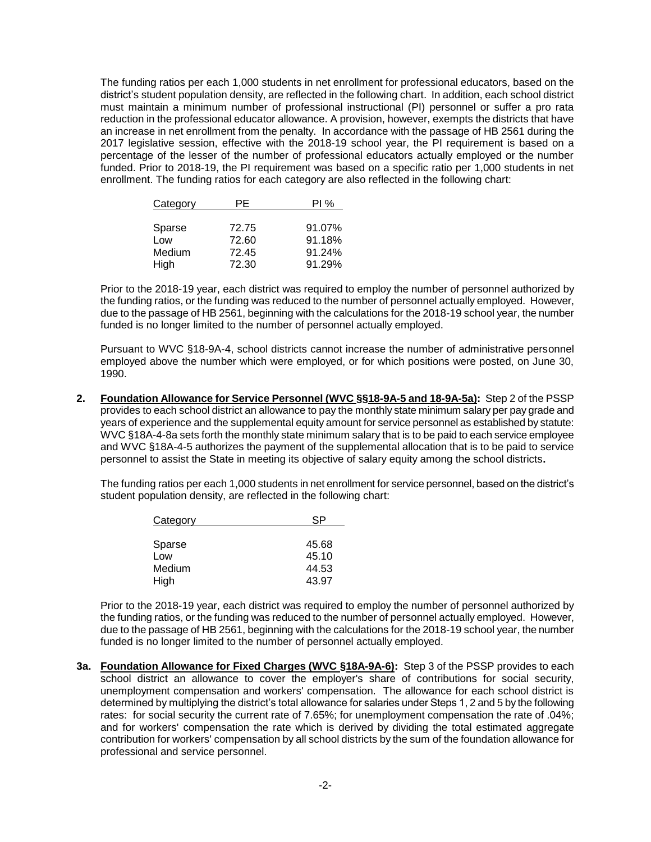The funding ratios per each 1,000 students in net enrollment for professional educators, based on the district's student population density, are reflected in the following chart. In addition, each school district must maintain a minimum number of professional instructional (PI) personnel or suffer a pro rata reduction in the professional educator allowance. A provision, however, exempts the districts that have an increase in net enrollment from the penalty. In accordance with the passage of HB 2561 during the 2017 legislative session, effective with the 2018-19 school year, the PI requirement is based on a percentage of the lesser of the number of professional educators actually employed or the number funded. Prior to 2018-19, the PI requirement was based on a specific ratio per 1,000 students in net enrollment. The funding ratios for each category are also reflected in the following chart:

| Category | PE    | PI%    |
|----------|-------|--------|
|          |       |        |
| Sparse   | 72.75 | 91.07% |
| Low      | 72.60 | 91.18% |
| Medium   | 72.45 | 91.24% |
| High     | 72.30 | 91.29% |

Prior to the 2018-19 year, each district was required to employ the number of personnel authorized by the funding ratios, or the funding was reduced to the number of personnel actually employed. However, due to the passage of HB 2561, beginning with the calculations for the 2018-19 school year, the number funded is no longer limited to the number of personnel actually employed.

Pursuant to WVC §18-9A-4, school districts cannot increase the number of administrative personnel employed above the number which were employed, or for which positions were posted, on June 30, 1990.

**2. Foundation Allowance for Service Personnel (WVC §§18-9A-5 and 18-9A-5a):** Step 2 of the PSSP provides to each school district an allowance to pay the monthly state minimum salary per pay grade and years of experience and the supplemental equity amount for service personnel as established by statute: WVC §18A-4-8a sets forth the monthly state minimum salary that is to be paid to each service employee and WVC §18A-4-5 authorizes the payment of the supplemental allocation that is to be paid to service personnel to assist the State in meeting its objective of salary equity among the school districts**.** 

The funding ratios per each 1,000 students in net enrollment for service personnel, based on the district's student population density, are reflected in the following chart:

| Category |       |
|----------|-------|
|          |       |
| Sparse   | 45.68 |
| Low      | 45.10 |
| Medium   | 44.53 |
| High     | 43.97 |

Prior to the 2018-19 year, each district was required to employ the number of personnel authorized by the funding ratios, or the funding was reduced to the number of personnel actually employed. However, due to the passage of HB 2561, beginning with the calculations for the 2018-19 school year, the number funded is no longer limited to the number of personnel actually employed.

**3a. Foundation Allowance for Fixed Charges (WVC §18A-9A-6):** Step 3 of the PSSP provides to each school district an allowance to cover the employer's share of contributions for social security, unemployment compensation and workers' compensation. The allowance for each school district is determined by multiplying the district's total allowance for salaries under Steps 1, 2 and 5 by the following rates: for social security the current rate of 7.65%; for unemployment compensation the rate of .04%; and for workers' compensation the rate which is derived by dividing the total estimated aggregate contribution for workers' compensation by all school districts by the sum of the foundation allowance for professional and service personnel.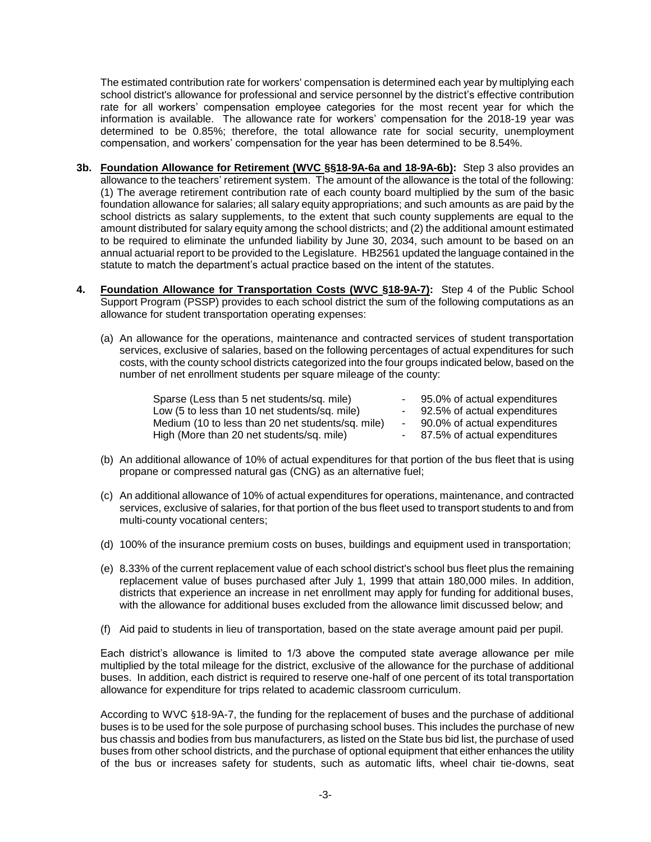The estimated contribution rate for workers' compensation is determined each year by multiplying each school district's allowance for professional and service personnel by the district's effective contribution rate for all workers' compensation employee categories for the most recent year for which the information is available. The allowance rate for workers' compensation for the 2018-19 year was determined to be 0.85%; therefore, the total allowance rate for social security, unemployment compensation, and workers' compensation for the year has been determined to be 8.54%.

- **3b. Foundation Allowance for Retirement (WVC §§18-9A-6a and 18-9A-6b):** Step 3 also provides an allowance to the teachers' retirement system. The amount of the allowance is the total of the following: (1) The average retirement contribution rate of each county board multiplied by the sum of the basic foundation allowance for salaries; all salary equity appropriations; and such amounts as are paid by the school districts as salary supplements, to the extent that such county supplements are equal to the amount distributed for salary equity among the school districts; and (2) the additional amount estimated to be required to eliminate the unfunded liability by June 30, 2034, such amount to be based on an annual actuarial report to be provided to the Legislature. HB2561 updated the language contained in the statute to match the department's actual practice based on the intent of the statutes.
- **4. Foundation Allowance for Transportation Costs (WVC §18-9A-7):** Step 4 of the Public School Support Program (PSSP) provides to each school district the sum of the following computations as an allowance for student transportation operating expenses:
	- (a) An allowance for the operations, maintenance and contracted services of student transportation services, exclusive of salaries, based on the following percentages of actual expenditures for such costs, with the county school districts categorized into the four groups indicated below, based on the number of net enrollment students per square mileage of the county:

| Sparse (Less than 5 net students/sq. mile)        | 95.0% of actual expenditures |
|---------------------------------------------------|------------------------------|
| Low (5 to less than 10 net students/sq. mile)     | 92.5% of actual expenditures |
| Medium (10 to less than 20 net students/sq. mile) | 90.0% of actual expenditures |
| High (More than 20 net students/sq. mile)         | 87.5% of actual expenditures |

- (b) An additional allowance of 10% of actual expenditures for that portion of the bus fleet that is using propane or compressed natural gas (CNG) as an alternative fuel;
- (c) An additional allowance of 10% of actual expenditures for operations, maintenance, and contracted services, exclusive of salaries, for that portion of the bus fleet used to transport students to and from multi-county vocational centers;
- (d) 100% of the insurance premium costs on buses, buildings and equipment used in transportation;
- (e) 8.33% of the current replacement value of each school district's school bus fleet plus the remaining replacement value of buses purchased after July 1, 1999 that attain 180,000 miles. In addition, districts that experience an increase in net enrollment may apply for funding for additional buses, with the allowance for additional buses excluded from the allowance limit discussed below; and
- (f) Aid paid to students in lieu of transportation, based on the state average amount paid per pupil.

Each district's allowance is limited to 1/3 above the computed state average allowance per mile multiplied by the total mileage for the district, exclusive of the allowance for the purchase of additional buses. In addition, each district is required to reserve one-half of one percent of its total transportation allowance for expenditure for trips related to academic classroom curriculum.

According to WVC §18-9A-7, the funding for the replacement of buses and the purchase of additional buses is to be used for the sole purpose of purchasing school buses. This includes the purchase of new bus chassis and bodies from bus manufacturers, as listed on the State bus bid list, the purchase of used buses from other school districts, and the purchase of optional equipment that either enhances the utility of the bus or increases safety for students, such as automatic lifts, wheel chair tie-downs, seat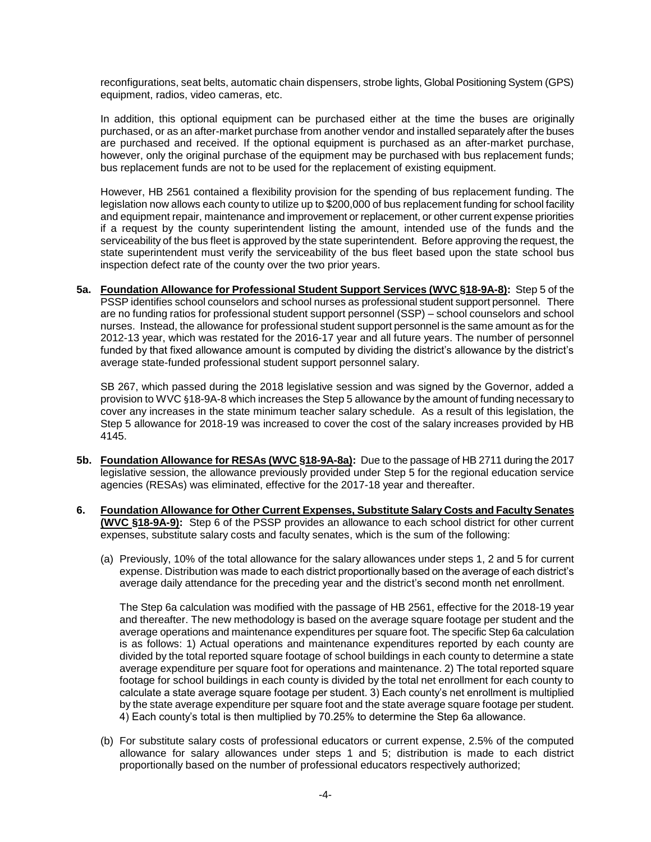reconfigurations, seat belts, automatic chain dispensers, strobe lights, Global Positioning System (GPS) equipment, radios, video cameras, etc.

In addition, this optional equipment can be purchased either at the time the buses are originally purchased, or as an after-market purchase from another vendor and installed separately after the buses are purchased and received. If the optional equipment is purchased as an after-market purchase, however, only the original purchase of the equipment may be purchased with bus replacement funds; bus replacement funds are not to be used for the replacement of existing equipment.

However, HB 2561 contained a flexibility provision for the spending of bus replacement funding. The legislation now allows each county to utilize up to \$200,000 of bus replacement funding for school facility and equipment repair, maintenance and improvement or replacement, or other current expense priorities if a request by the county superintendent listing the amount, intended use of the funds and the serviceability of the bus fleet is approved by the state superintendent. Before approving the request, the state superintendent must verify the serviceability of the bus fleet based upon the state school bus inspection defect rate of the county over the two prior years.

**5a. Foundation Allowance for Professional Student Support Services (WVC §18-9A-8):** Step 5 of the PSSP identifies school counselors and school nurses as professional student support personnel. There are no funding ratios for professional student support personnel (SSP) – school counselors and school nurses. Instead, the allowance for professional student support personnel is the same amount as for the 2012-13 year, which was restated for the 2016-17 year and all future years. The number of personnel funded by that fixed allowance amount is computed by dividing the district's allowance by the district's average state-funded professional student support personnel salary.

SB 267, which passed during the 2018 legislative session and was signed by the Governor, added a provision to WVC §18-9A-8 which increases the Step 5 allowance by the amount of funding necessary to cover any increases in the state minimum teacher salary schedule. As a result of this legislation, the Step 5 allowance for 2018-19 was increased to cover the cost of the salary increases provided by HB 4145.

- **5b. Foundation Allowance for RESAs (WVC §18-9A-8a):** Due to the passage of HB 2711 during the 2017 legislative session, the allowance previously provided under Step 5 for the regional education service agencies (RESAs) was eliminated, effective for the 2017-18 year and thereafter.
- **6. Foundation Allowance for Other Current Expenses, Substitute Salary Costs and Faculty Senates (WVC §18-9A-9):** Step 6 of the PSSP provides an allowance to each school district for other current expenses, substitute salary costs and faculty senates, which is the sum of the following:
	- (a) Previously, 10% of the total allowance for the salary allowances under steps 1, 2 and 5 for current expense. Distribution was made to each district proportionally based on the average of each district's average daily attendance for the preceding year and the district's second month net enrollment.

The Step 6a calculation was modified with the passage of HB 2561, effective for the 2018-19 year and thereafter. The new methodology is based on the average square footage per student and the average operations and maintenance expenditures per square foot. The specific Step 6a calculation is as follows: 1) Actual operations and maintenance expenditures reported by each county are divided by the total reported square footage of school buildings in each county to determine a state average expenditure per square foot for operations and maintenance. 2) The total reported square footage for school buildings in each county is divided by the total net enrollment for each county to calculate a state average square footage per student. 3) Each county's net enrollment is multiplied by the state average expenditure per square foot and the state average square footage per student. 4) Each county's total is then multiplied by 70.25% to determine the Step 6a allowance.

(b) For substitute salary costs of professional educators or current expense, 2.5% of the computed allowance for salary allowances under steps 1 and 5; distribution is made to each district proportionally based on the number of professional educators respectively authorized;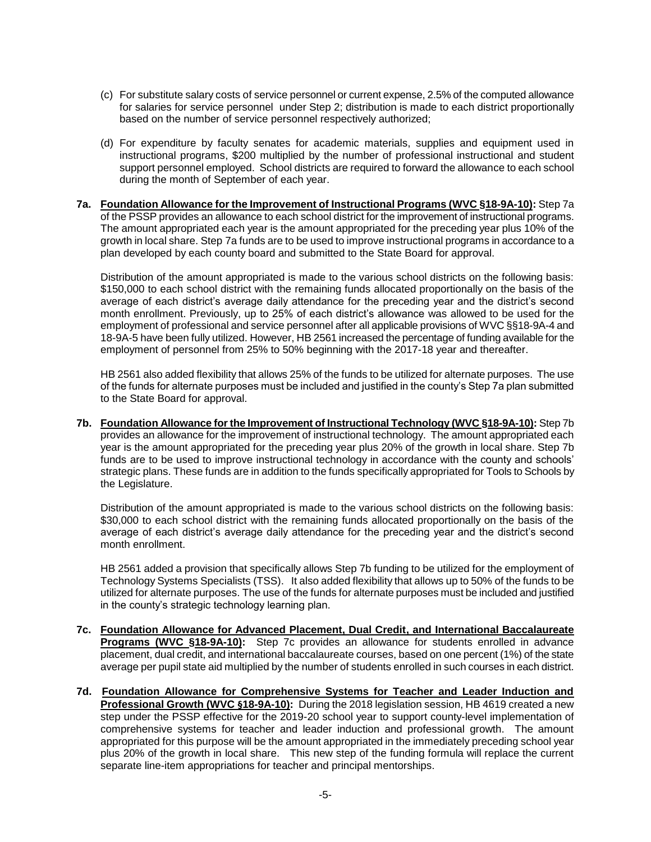- (c) For substitute salary costs of service personnel or current expense, 2.5% of the computed allowance for salaries for service personnel under Step 2; distribution is made to each district proportionally based on the number of service personnel respectively authorized;
- (d) For expenditure by faculty senates for academic materials, supplies and equipment used in instructional programs, \$200 multiplied by the number of professional instructional and student support personnel employed. School districts are required to forward the allowance to each school during the month of September of each year.

### **7a. Foundation Allowance for the Improvement of Instructional Programs (WVC §18-9A-10):** Step 7a of the PSSP provides an allowance to each school district for the improvement of instructional programs. The amount appropriated each year is the amount appropriated for the preceding year plus 10% of the growth in local share. Step 7a funds are to be used to improve instructional programs in accordance to a plan developed by each county board and submitted to the State Board for approval.

Distribution of the amount appropriated is made to the various school districts on the following basis: \$150,000 to each school district with the remaining funds allocated proportionally on the basis of the average of each district's average daily attendance for the preceding year and the district's second month enrollment. Previously, up to 25% of each district's allowance was allowed to be used for the employment of professional and service personnel after all applicable provisions of WVC §§18-9A-4 and 18-9A-5 have been fully utilized. However, HB 2561 increased the percentage of funding available for the employment of personnel from 25% to 50% beginning with the 2017-18 year and thereafter.

HB 2561 also added flexibility that allows 25% of the funds to be utilized for alternate purposes. The use of the funds for alternate purposes must be included and justified in the county's Step 7a plan submitted to the State Board for approval.

**7b. Foundation Allowance for the Improvement of Instructional Technology (WVC §18-9A-10):** Step 7b provides an allowance for the improvement of instructional technology. The amount appropriated each year is the amount appropriated for the preceding year plus 20% of the growth in local share. Step 7b funds are to be used to improve instructional technology in accordance with the county and schools' strategic plans. These funds are in addition to the funds specifically appropriated for Tools to Schools by the Legislature.

Distribution of the amount appropriated is made to the various school districts on the following basis: \$30,000 to each school district with the remaining funds allocated proportionally on the basis of the average of each district's average daily attendance for the preceding year and the district's second month enrollment.

HB 2561 added a provision that specifically allows Step 7b funding to be utilized for the employment of Technology Systems Specialists (TSS). It also added flexibility that allows up to 50% of the funds to be utilized for alternate purposes. The use of the funds for alternate purposes must be included and justified in the county's strategic technology learning plan.

- **7c. Foundation Allowance for Advanced Placement, Dual Credit, and International Baccalaureate Programs (WVC §18-9A-10):** Step 7c provides an allowance for students enrolled in advance placement, dual credit, and international baccalaureate courses, based on one percent (1%) of the state average per pupil state aid multiplied by the number of students enrolled in such courses in each district.
- **7d. Foundation Allowance for Comprehensive Systems for Teacher and Leader Induction and Professional Growth (WVC §18-9A-10):** During the 2018 legislation session, HB 4619 created a new step under the PSSP effective for the 2019-20 school year to support county-level implementation of comprehensive systems for teacher and leader induction and professional growth. The amount appropriated for this purpose will be the amount appropriated in the immediately preceding school year plus 20% of the growth in local share. This new step of the funding formula will replace the current separate line-item appropriations for teacher and principal mentorships.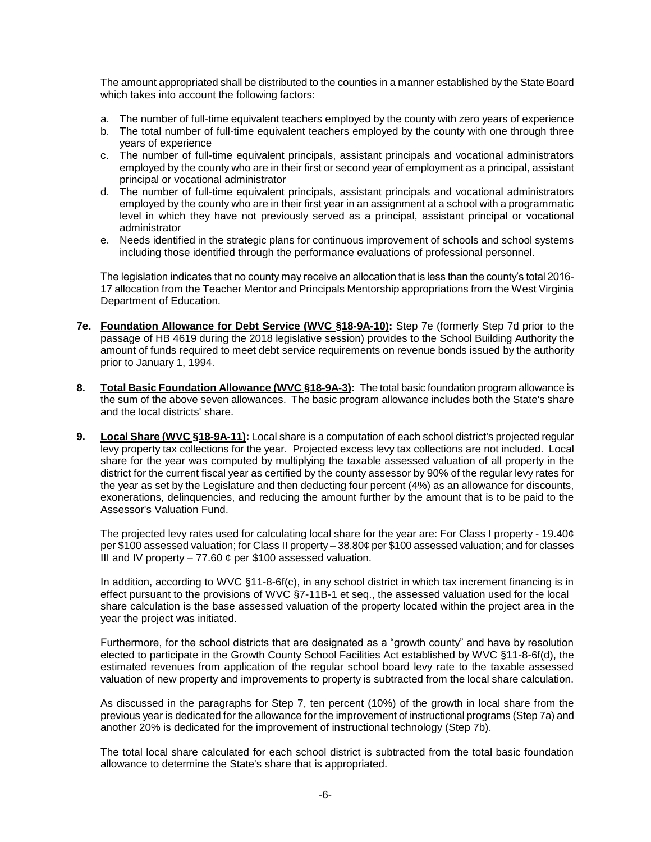The amount appropriated shall be distributed to the counties in a manner established by the State Board which takes into account the following factors:

- a. The number of full-time equivalent teachers employed by the county with zero years of experience
- b. The total number of full-time equivalent teachers employed by the county with one through three years of experience
- c. The number of full-time equivalent principals, assistant principals and vocational administrators employed by the county who are in their first or second year of employment as a principal, assistant principal or vocational administrator
- d. The number of full-time equivalent principals, assistant principals and vocational administrators employed by the county who are in their first year in an assignment at a school with a programmatic level in which they have not previously served as a principal, assistant principal or vocational administrator
- e. Needs identified in the strategic plans for continuous improvement of schools and school systems including those identified through the performance evaluations of professional personnel.

The legislation indicates that no county may receive an allocation that is less than the county's total 2016- 17 allocation from the Teacher Mentor and Principals Mentorship appropriations from the West Virginia Department of Education.

- **7e. Foundation Allowance for Debt Service (WVC §18-9A-10):** Step 7e (formerly Step 7d prior to the passage of HB 4619 during the 2018 legislative session) provides to the School Building Authority the amount of funds required to meet debt service requirements on revenue bonds issued by the authority prior to January 1, 1994.
- **8. Total Basic Foundation Allowance (WVC §18-9A-3):** The total basic foundation program allowance is the sum of the above seven allowances. The basic program allowance includes both the State's share and the local districts' share.
- **9. Local Share (WVC §18-9A-11):** Local share is a computation of each school district's projected regular levy property tax collections for the year. Projected excess levy tax collections are not included. Local share for the year was computed by multiplying the taxable assessed valuation of all property in the district for the current fiscal year as certified by the county assessor by 90% of the regular levy rates for the year as set by the Legislature and then deducting four percent (4%) as an allowance for discounts, exonerations, delinquencies, and reducing the amount further by the amount that is to be paid to the Assessor's Valuation Fund.

The projected levy rates used for calculating local share for the year are: For Class I property - 19.40¢ per \$100 assessed valuation; for Class II property – 38.80¢ per \$100 assessed valuation; and for classes III and IV property  $-77.60$   $\phi$  per \$100 assessed valuation.

In addition, according to WVC §11-8-6f(c), in any school district in which tax increment financing is in effect pursuant to the provisions of WVC §7-11B-1 et seq., the assessed valuation used for the local share calculation is the base assessed valuation of the property located within the project area in the year the project was initiated.

Furthermore, for the school districts that are designated as a "growth county" and have by resolution elected to participate in the Growth County School Facilities Act established by WVC §11-8-6f(d), the estimated revenues from application of the regular school board levy rate to the taxable assessed valuation of new property and improvements to property is subtracted from the local share calculation.

As discussed in the paragraphs for Step 7, ten percent (10%) of the growth in local share from the previous year is dedicated for the allowance for the improvement of instructional programs (Step 7a) and another 20% is dedicated for the improvement of instructional technology (Step 7b).

The total local share calculated for each school district is subtracted from the total basic foundation allowance to determine the State's share that is appropriated.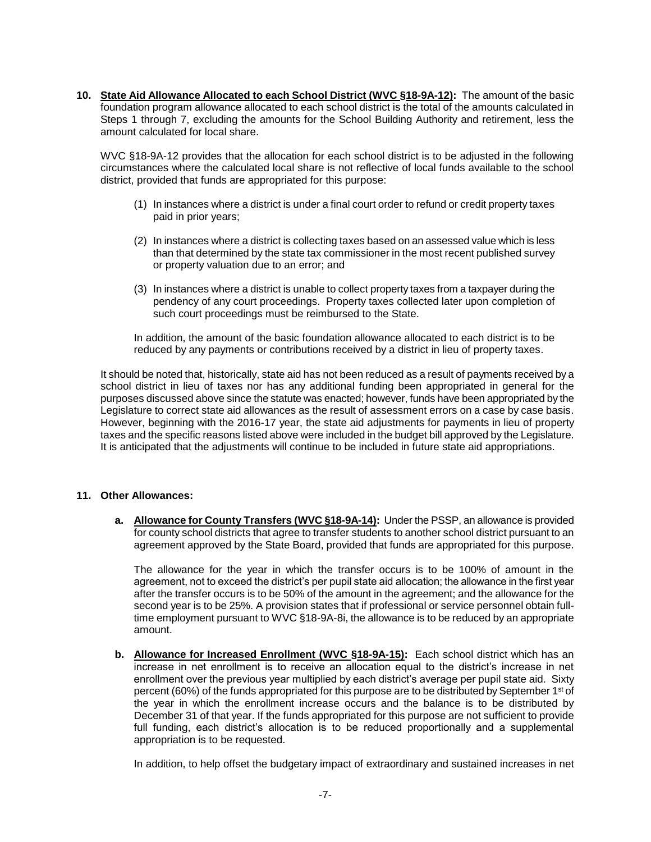**10. State Aid Allowance Allocated to each School District (WVC §18-9A-12):** The amount of the basic foundation program allowance allocated to each school district is the total of the amounts calculated in Steps 1 through 7, excluding the amounts for the School Building Authority and retirement, less the amount calculated for local share.

WVC §18-9A-12 provides that the allocation for each school district is to be adjusted in the following circumstances where the calculated local share is not reflective of local funds available to the school district, provided that funds are appropriated for this purpose:

- (1) In instances where a district is under a final court order to refund or credit property taxes paid in prior years;
- (2) In instances where a district is collecting taxes based on an assessed value which is less than that determined by the state tax commissioner in the most recent published survey or property valuation due to an error; and
- (3) In instances where a district is unable to collect property taxes from a taxpayer during the pendency of any court proceedings. Property taxes collected later upon completion of such court proceedings must be reimbursed to the State.

In addition, the amount of the basic foundation allowance allocated to each district is to be reduced by any payments or contributions received by a district in lieu of property taxes.

It should be noted that, historically, state aid has not been reduced as a result of payments received by a school district in lieu of taxes nor has any additional funding been appropriated in general for the purposes discussed above since the statute was enacted; however, funds have been appropriated by the Legislature to correct state aid allowances as the result of assessment errors on a case by case basis. However, beginning with the 2016-17 year, the state aid adjustments for payments in lieu of property taxes and the specific reasons listed above were included in the budget bill approved by the Legislature. It is anticipated that the adjustments will continue to be included in future state aid appropriations.

## **11. Other Allowances:**

**a. Allowance for County Transfers (WVC §18-9A-14):** Under the PSSP, an allowance is provided for county school districts that agree to transfer students to another school district pursuant to an agreement approved by the State Board, provided that funds are appropriated for this purpose.

The allowance for the year in which the transfer occurs is to be 100% of amount in the agreement, not to exceed the district's per pupil state aid allocation; the allowance in the first year after the transfer occurs is to be 50% of the amount in the agreement; and the allowance for the second year is to be 25%. A provision states that if professional or service personnel obtain fulltime employment pursuant to WVC §18-9A-8i, the allowance is to be reduced by an appropriate amount.

**b. Allowance for Increased Enrollment (WVC §18-9A-15):** Each school district which has an increase in net enrollment is to receive an allocation equal to the district's increase in net enrollment over the previous year multiplied by each district's average per pupil state aid. Sixty percent (60%) of the funds appropriated for this purpose are to be distributed by September 1<sup>st</sup> of the year in which the enrollment increase occurs and the balance is to be distributed by December 31 of that year. If the funds appropriated for this purpose are not sufficient to provide full funding, each district's allocation is to be reduced proportionally and a supplemental appropriation is to be requested.

In addition, to help offset the budgetary impact of extraordinary and sustained increases in net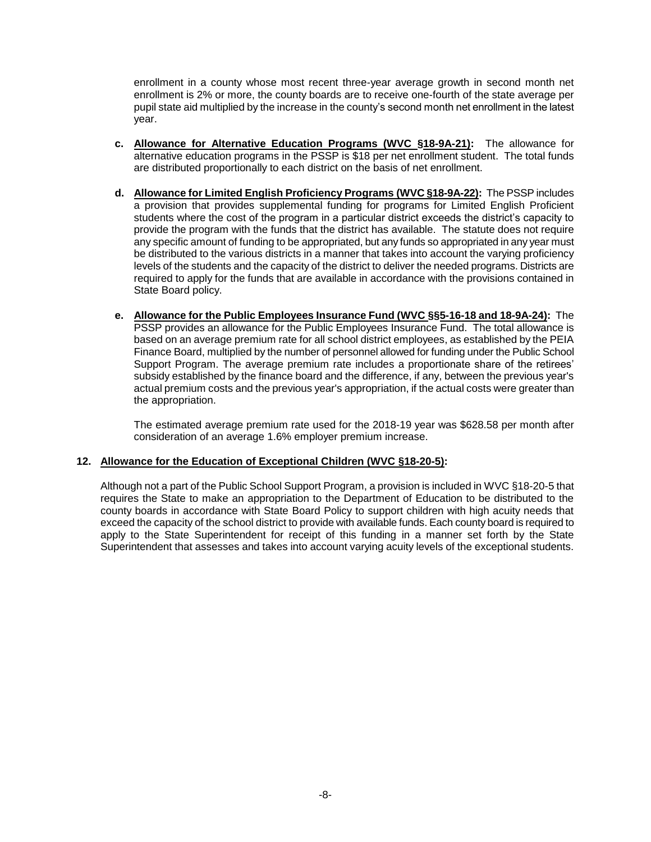enrollment in a county whose most recent three-year average growth in second month net enrollment is 2% or more, the county boards are to receive one-fourth of the state average per pupil state aid multiplied by the increase in the county's second month net enrollment in the latest year.

- **c. Allowance for Alternative Education Programs (WVC §18-9A-21):** The allowance for alternative education programs in the PSSP is \$18 per net enrollment student. The total funds are distributed proportionally to each district on the basis of net enrollment.
- **d. Allowance for Limited English Proficiency Programs (WVC §18-9A-22):** The PSSP includes a provision that provides supplemental funding for programs for Limited English Proficient students where the cost of the program in a particular district exceeds the district's capacity to provide the program with the funds that the district has available. The statute does not require any specific amount of funding to be appropriated, but any funds so appropriated in any year must be distributed to the various districts in a manner that takes into account the varying proficiency levels of the students and the capacity of the district to deliver the needed programs. Districts are required to apply for the funds that are available in accordance with the provisions contained in State Board policy.
- **e. Allowance for the Public Employees Insurance Fund (WVC §§5-16-18 and 18-9A-24):** The PSSP provides an allowance for the Public Employees Insurance Fund. The total allowance is based on an average premium rate for all school district employees, as established by the PEIA Finance Board, multiplied by the number of personnel allowed for funding under the Public School Support Program. The average premium rate includes a proportionate share of the retirees' subsidy established by the finance board and the difference, if any, between the previous year's actual premium costs and the previous year's appropriation, if the actual costs were greater than the appropriation.

The estimated average premium rate used for the 2018-19 year was \$628.58 per month after consideration of an average 1.6% employer premium increase.

# **12. Allowance for the Education of Exceptional Children (WVC §18-20-5):**

Although not a part of the Public School Support Program, a provision is included in WVC §18-20-5 that requires the State to make an appropriation to the Department of Education to be distributed to the county boards in accordance with State Board Policy to support children with high acuity needs that exceed the capacity of the school district to provide with available funds. Each county board is required to apply to the State Superintendent for receipt of this funding in a manner set forth by the State Superintendent that assesses and takes into account varying acuity levels of the exceptional students.